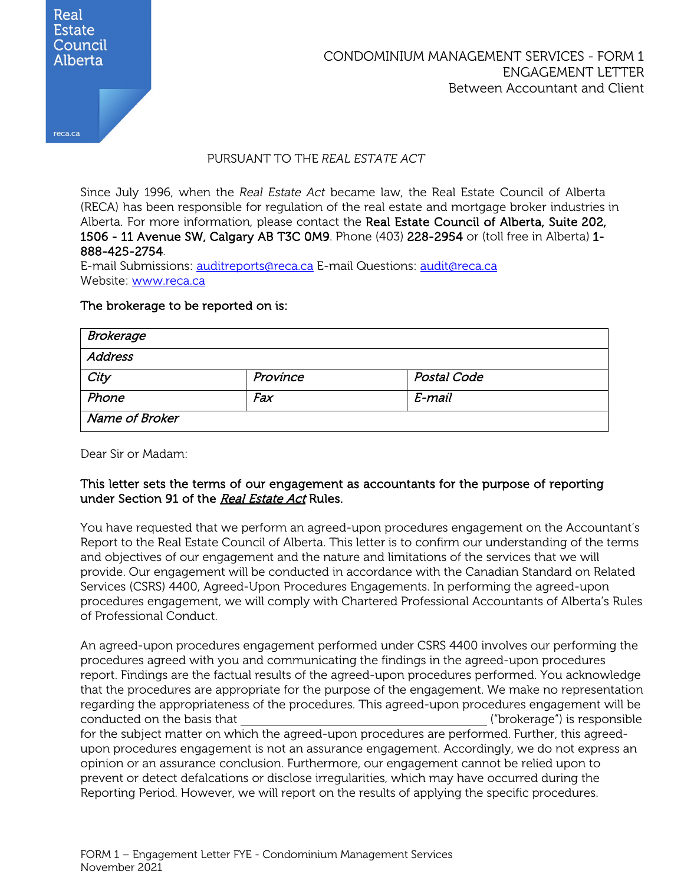

## PURSUANT TO THE *REAL ESTATE ACT*

Since July 1996, when the *Real Estate Act* became law, the Real Estate Council of Alberta (RECA) has been responsible for regulation of the real estate and mortgage broker industries in Alberta. For more information, please contact the Real Estate Council of Alberta, Suite 202, 1506 - 11 Avenue SW, Calgary AB T3C 0M9. Phone (403) 228-2954 or (toll free in Alberta) 1- 888-425-2754.

E-mail Submissions: [auditreports@reca.ca](mailto:auditreports@reca.ca) E-mail Questions: [audit@reca.ca](mailto:audit@reca.ca) Website: [www.reca.ca](http://www.reca.ca/)

#### The brokerage to be reported on is:

| <b>Brokerage</b> |          |             |
|------------------|----------|-------------|
| Address          |          |             |
| City             | Province | Postal Code |
| Phone            | Fax      | E-mail      |
| Name of Broker   |          |             |

Dear Sir or Madam:

### This letter sets the terms of our engagement as accountants for the purpose of reporting under Section 91 of the Real Estate Act Rules.

You have requested that we perform an agreed-upon procedures engagement on the Accountant's Report to the Real Estate Council of Alberta. This letter is to confirm our understanding of the terms and objectives of our engagement and the nature and limitations of the services that we will provide. Our engagement will be conducted in accordance with the Canadian Standard on Related Services (CSRS) 4400, Agreed-Upon Procedures Engagements. In performing the agreed-upon procedures engagement, we will comply with Chartered Professional Accountants of Alberta's Rules of Professional Conduct.

An agreed-upon procedures engagement performed under CSRS 4400 involves our performing the procedures agreed with you and communicating the findings in the agreed-upon procedures report. Findings are the factual results of the agreed-upon procedures performed. You acknowledge that the procedures are appropriate for the purpose of the engagement. We make no representation regarding the appropriateness of the procedures. This agreed-upon procedures engagement will be conducted on the basis that ("brokerage") is responsible for the subject matter on which the agreed-upon procedures are performed. Further, this agreedupon procedures engagement is not an assurance engagement. Accordingly, we do not express an opinion or an assurance conclusion. Furthermore, our engagement cannot be relied upon to prevent or detect defalcations or disclose irregularities, which may have occurred during the Reporting Period. However, we will report on the results of applying the specific procedures.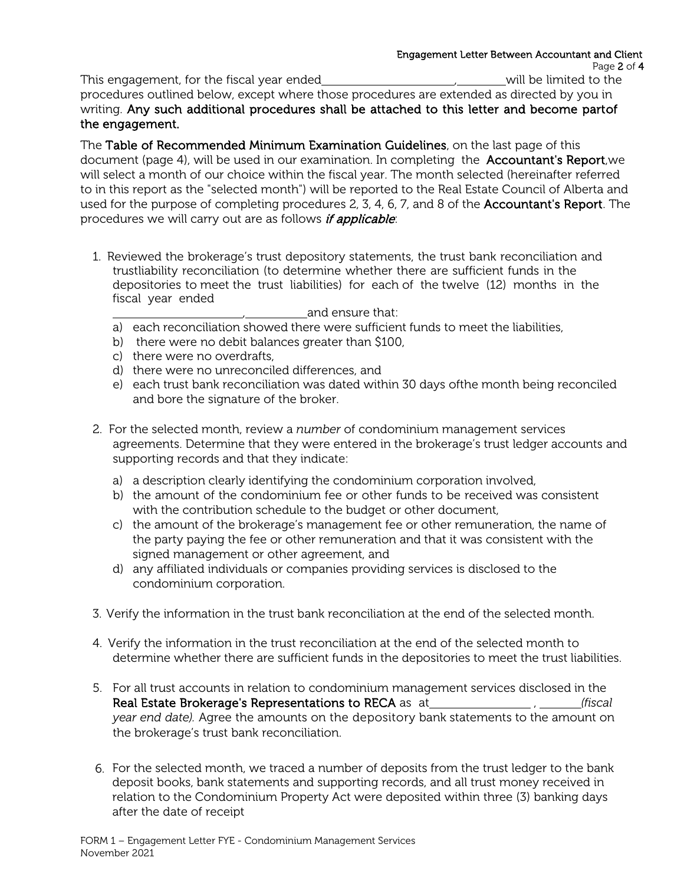This engagement, for the fiscal year ended *will be limited to the*  $\mu$  will be limited to the procedures outlined below, except where those procedures are extended as directed by you in writing. Any such additional procedures shall be attached to this letter and become part of the engagement.

The Table of Recommended Minimum Examination Guidelines, on the last page of this document (page 4), will be used in our examination. In completing the Accountant's Report, we will select a month of our choice within the fiscal year. The month selected (hereinafter referred to in this report as the "selected month") will be reported to the Real Estate Council of Alberta and used for the purpose of completing procedures 2, 3, 4, 6, 7, and 8 of the **Accountant's Report**. The procedures we will carry out are as follows *if applicable*:

1. Reviewed the brokerage's trust depository statements, the trust bank reconciliation and trustliability reconciliation (to determine whether there are sufficient funds in the depositories to meet the trust liabilities) for each of the twelve (12) months in the fiscal year ended

 $\mu$  and ensure that:

- a) each reconciliation showed there were sufficient funds to meet the liabilities,
- b) there were no debit balances greater than \$100,
- c) there were no overdrafts,
- d) there were no unreconciled differences, and
- e) each trust bank reconciliation was dated within 30 days ofthe month being reconciled and bore the signature of the broker.
- 2. For the selected month, review a *number* of condominium management services agreements. Determine that they were entered in the brokerage's trust ledger accounts and supporting records and that they indicate:
	- a) a description clearly identifying the condominium corporation involved,
	- b) the amount of the condominium fee or other funds to be received was consistent with the contribution schedule to the budget or other document,
	- c) the amount of the brokerage's management fee or other remuneration, the name of the party paying the fee or other remuneration and that it was consistent with the signed management or other agreement, and
	- d) any affiliated individuals or companies providing services is disclosed to the condominium corporation.
- 3. Verify the information in the trust bank reconciliation at the end of the selected month.
- 4. Verify the information in the trust reconciliation at the end of the selected month to determine whether there are sufficient funds in the depositories to meet the trust liabilities.
- 5. For all trust accounts in relation to condominium management services disclosed in the Real Estate Brokerage's Representations to RECA as at  $\mu_{\text{total}}$ ,  $\mu_{\text{total}}$  (fiscal *year end date).* Agree the amounts on the depository bank statements to the amount on the brokerage's trust bank reconciliation.
- 6. For the selected month, we traced a number of deposits from the trust ledger to the bank deposit books, bank statements and supporting records, and all trust money received in relation to the Condominium Property Act were deposited within three (3) banking days after the date of receipt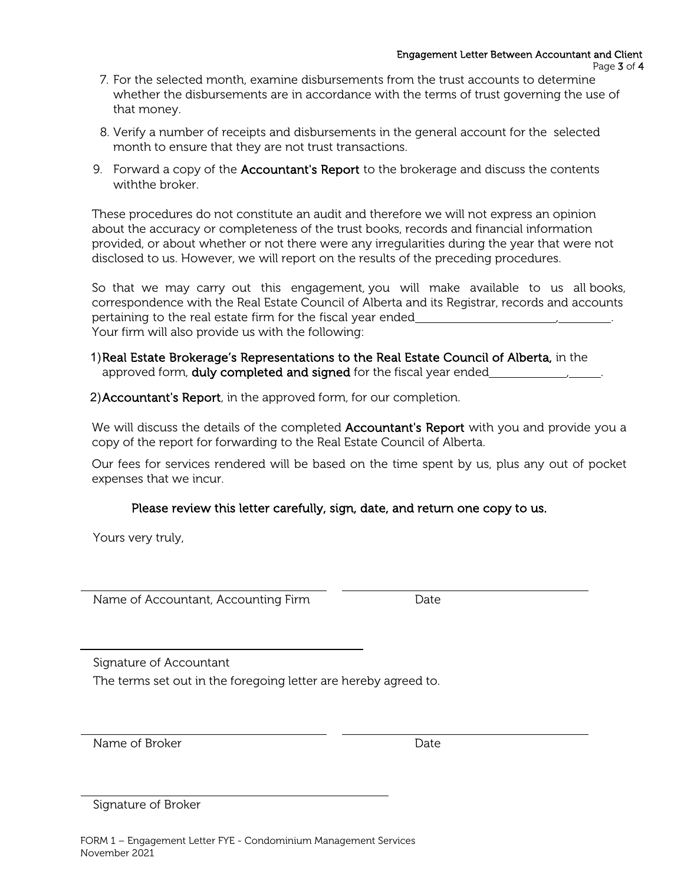- 7. For the selected month, examine disbursements from the trust accounts to determine whether the disbursements are in accordance with the terms of trust governing the use of that money.
- 8. Verify a number of receipts and disbursements in the general account for the selected month to ensure that they are not trust transactions.
- 9. Forward a copy of the **Accountant's Report** to the brokerage and discuss the contents withthe broker.

These procedures do not constitute an audit and therefore we will not express an opinion about the accuracy or completeness of the trust books, records and financial information provided, or about whether or not there were any irregularities during the year that were not disclosed to us. However, we will report on the results of the preceding procedures.

So that we may carry out this engagement, you will make available to us all books, correspondence with the Real Estate Council of Alberta and its Registrar, records and accounts pertaining to the real estate firm for the fiscal year ended Your firm will also provide us with the following:

- 1)Real Estate Brokerage's Representations to the Real Estate Council of Alberta, in the approved form, duly completed and signed for the fiscal year ended
- 2)Accountant's Report, in the approved form, for our completion.

We will discuss the details of the completed **Accountant's Report** with you and provide you a copy of the report for forwarding to the Real Estate Council of Alberta.

Our fees for services rendered will be based on the time spent by us, plus any out of pocket expenses that we incur.

# Please review this letter carefully, sign, date, and return one copy to us.

Yours very truly,

Name of Accountant, Accounting Firm Date

Signature of Accountant

The terms set out in the foregoing letter are hereby agreed to.

Name of Broker **Date** 

Signature of Broker